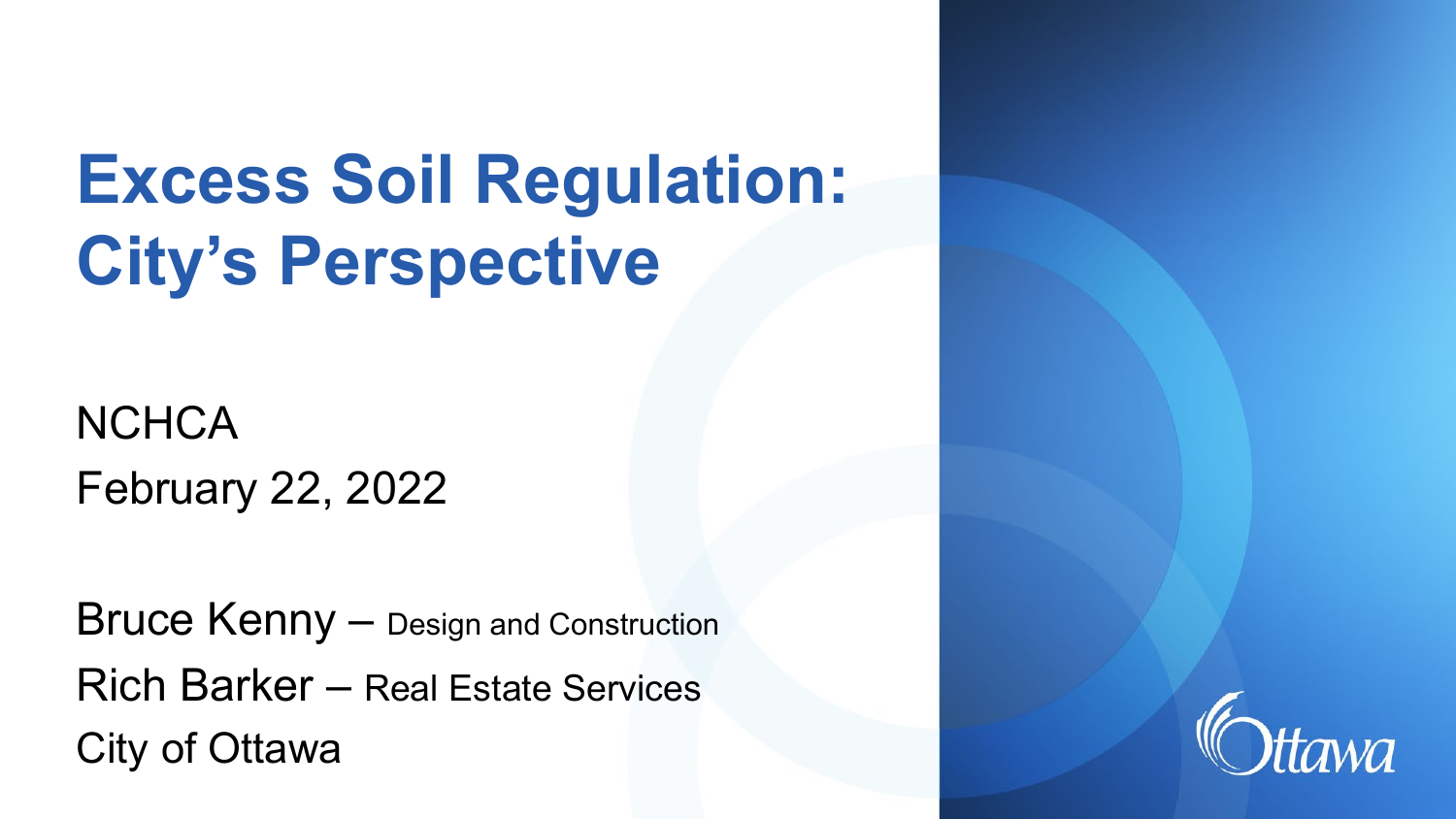# **Excess Soil Regulation: City's Perspective**

**NCHCA** February 22, 2022

Bruce Kenny – Design and Construction Rich Barker – Real Estate Services City of Ottawa

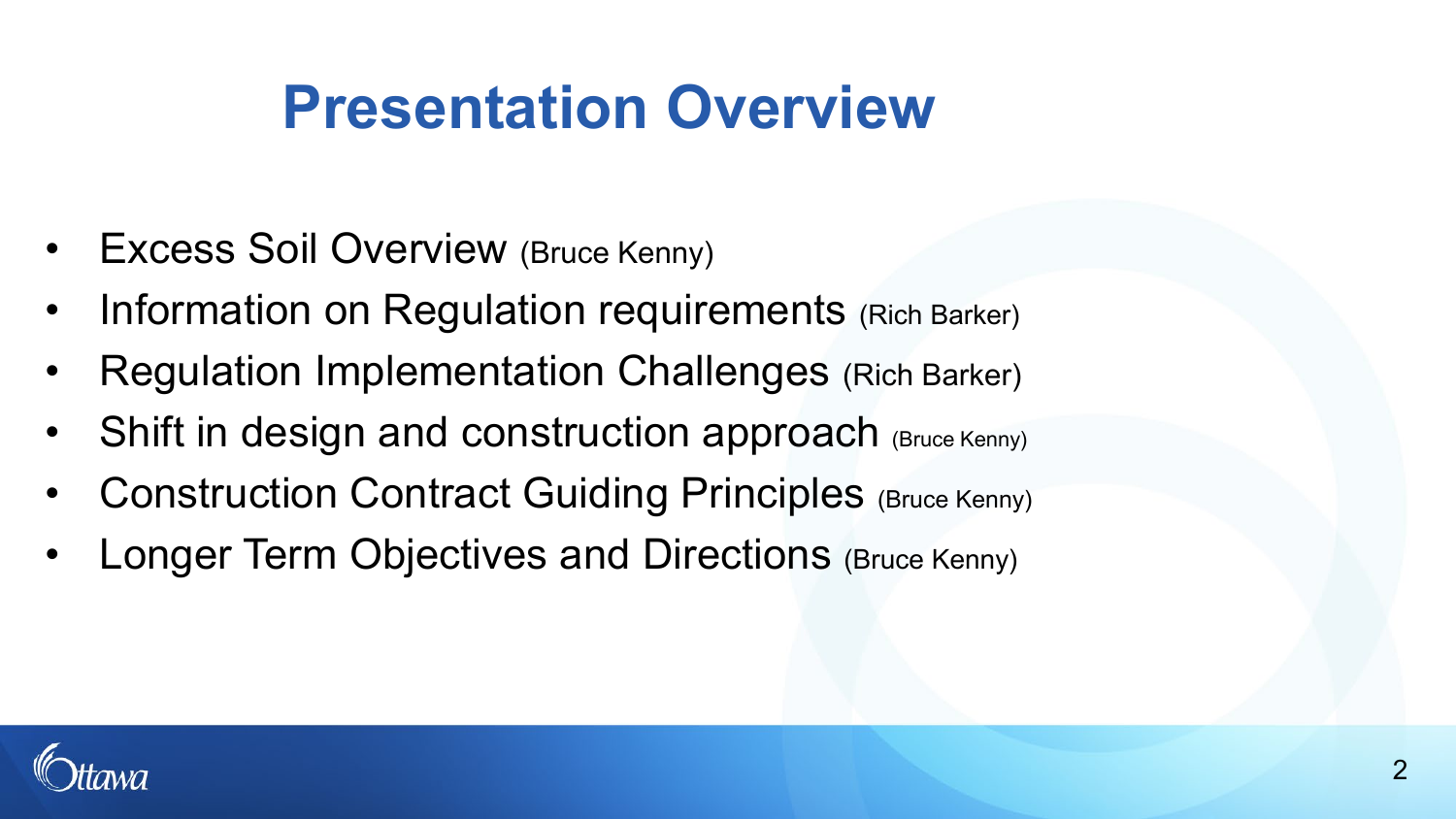### **Presentation Overview**

- Excess Soil Overview (Bruce Kenny)
- Information on Regulation requirements (Rich Barker)
- Regulation Implementation Challenges (Rich Barker)
- Shift in design and construction approach (Bruce Kenny)
- Construction Contract Guiding Principles (Bruce Kenny)
- Longer Term Objectives and Directions (Bruce Kenny)

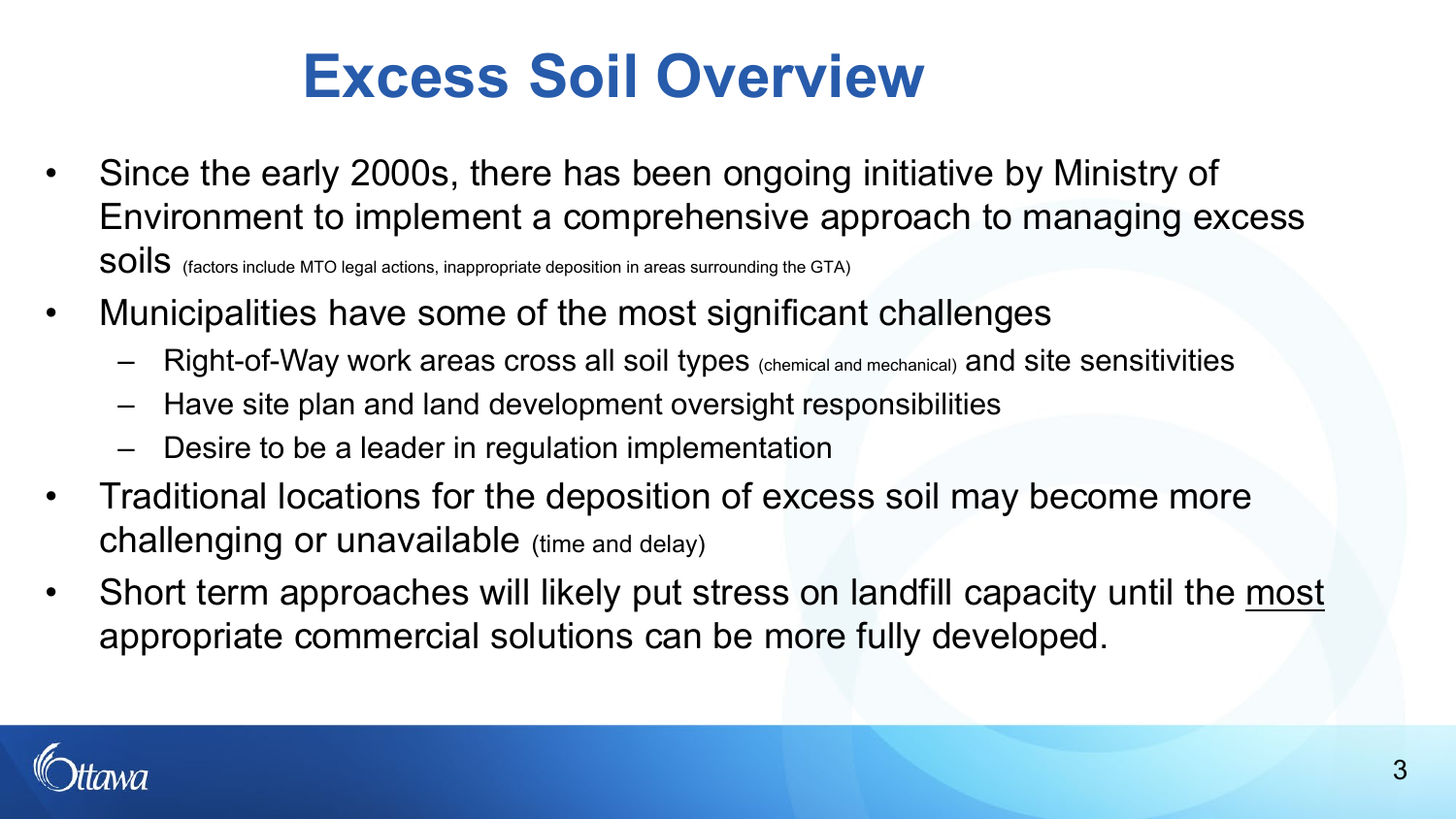### **Excess Soil Overview**

- Since the early 2000s, there has been ongoing initiative by Ministry of Environment to implement a comprehensive approach to managing excess SOIIS (factors include MTO legal actions, inappropriate deposition in areas surrounding the GTA)
- Municipalities have some of the most significant challenges
	- Right-of-Way work areas cross all soil types (chemical and mechanical) and site sensitivities
	- Have site plan and land development oversight responsibilities
	- Desire to be a leader in regulation implementation
- Traditional locations for the deposition of excess soil may become more challenging or unavailable (time and delay)
- Short term approaches will likely put stress on landfill capacity until the most appropriate commercial solutions can be more fully developed.

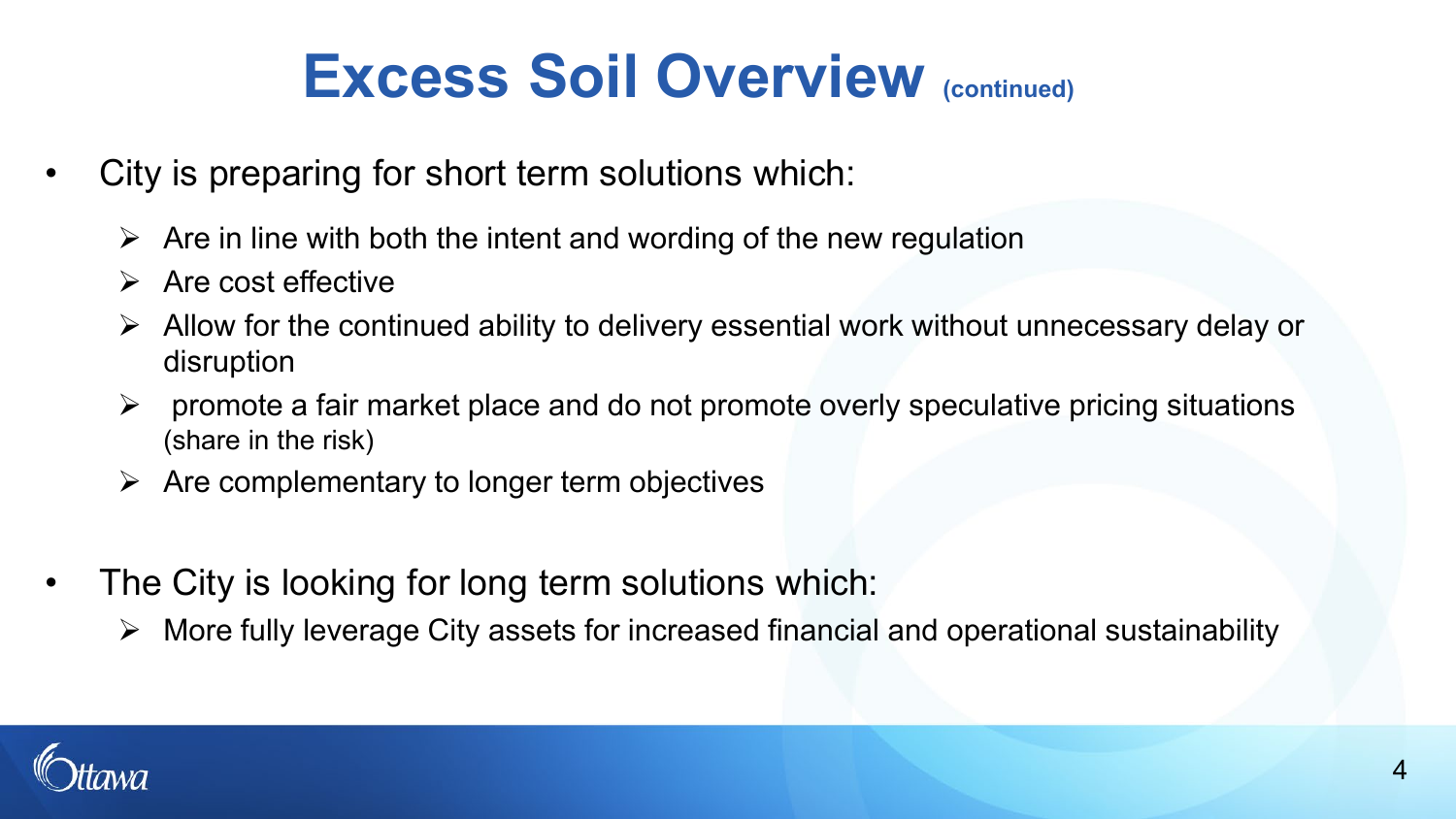### **Excess Soil Overview (continued)**

- City is preparing for short term solutions which:
	- $\triangleright$  Are in line with both the intent and wording of the new regulation
	- $\triangleright$  Are cost effective
	- $\triangleright$  Allow for the continued ability to delivery essential work without unnecessary delay or disruption
	- $\triangleright$  promote a fair market place and do not promote overly speculative pricing situations (share in the risk)
	- $\triangleright$  Are complementary to longer term objectives
- The City is looking for long term solutions which:
	- $\triangleright$  More fully leverage City assets for increased financial and operational sustainability

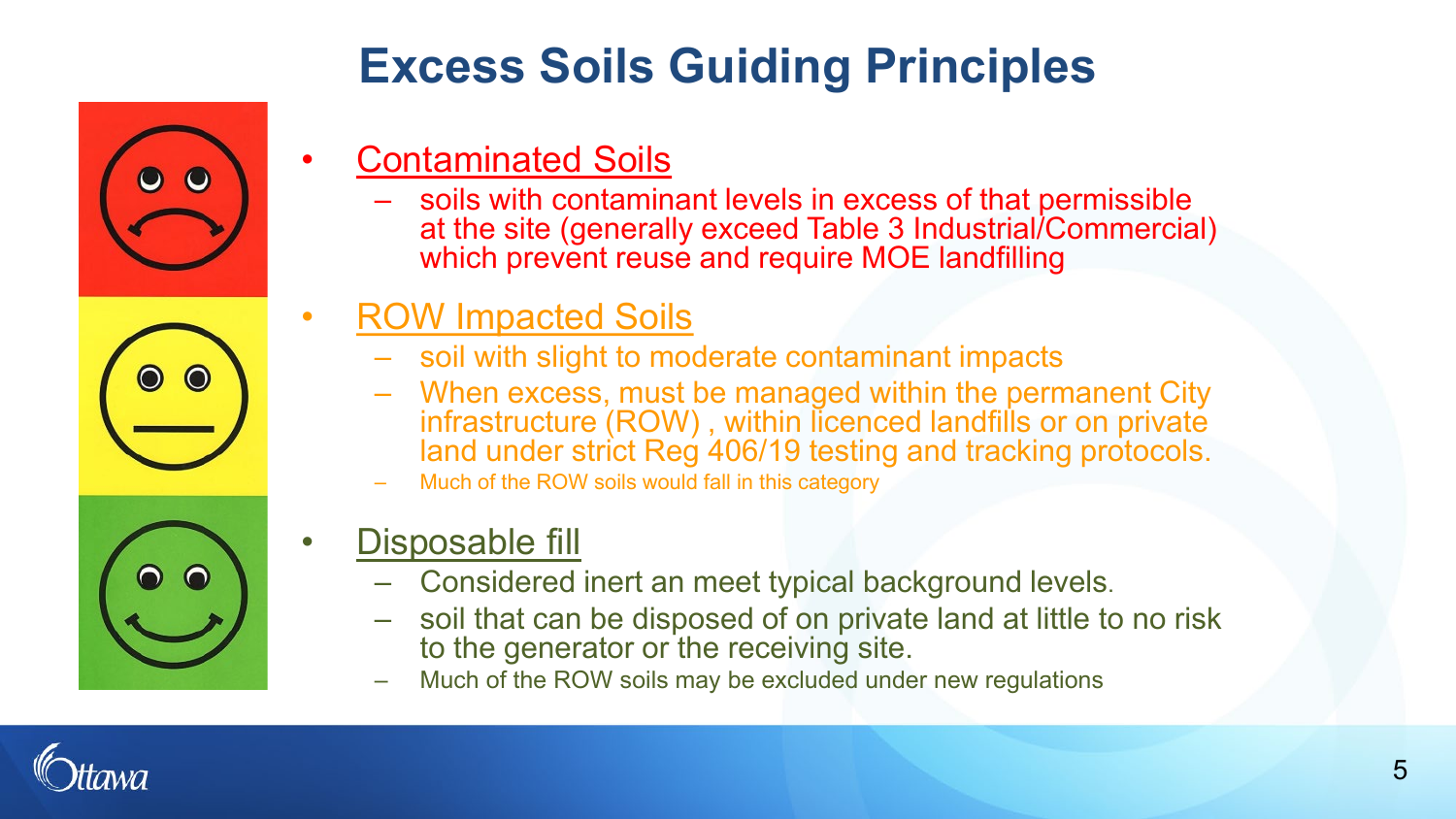

### **Excess Soils Guiding Principles**

- Contaminated Soils
	- soils with contaminant levels in excess of that permissible at the site (generally exceed Table 3 Industrial/Commercial) which prevent reuse and require MOE landfilling
- ROW Impacted Soils
	- soil with slight to moderate contaminant impacts
	- When excess, must be managed within the permanent City infrastructure (ROW) , within licenced landfills or on private land under strict Reg 406/19 testing and tracking protocols.
	- Much of the ROW soils would fall in this category
- Disposable fill
	- Considered inert an meet typical background levels.
	- soil that can be disposed of on private land at little to no risk to the generator or the receiving site.
	- Much of the ROW soils may be excluded under new regulations

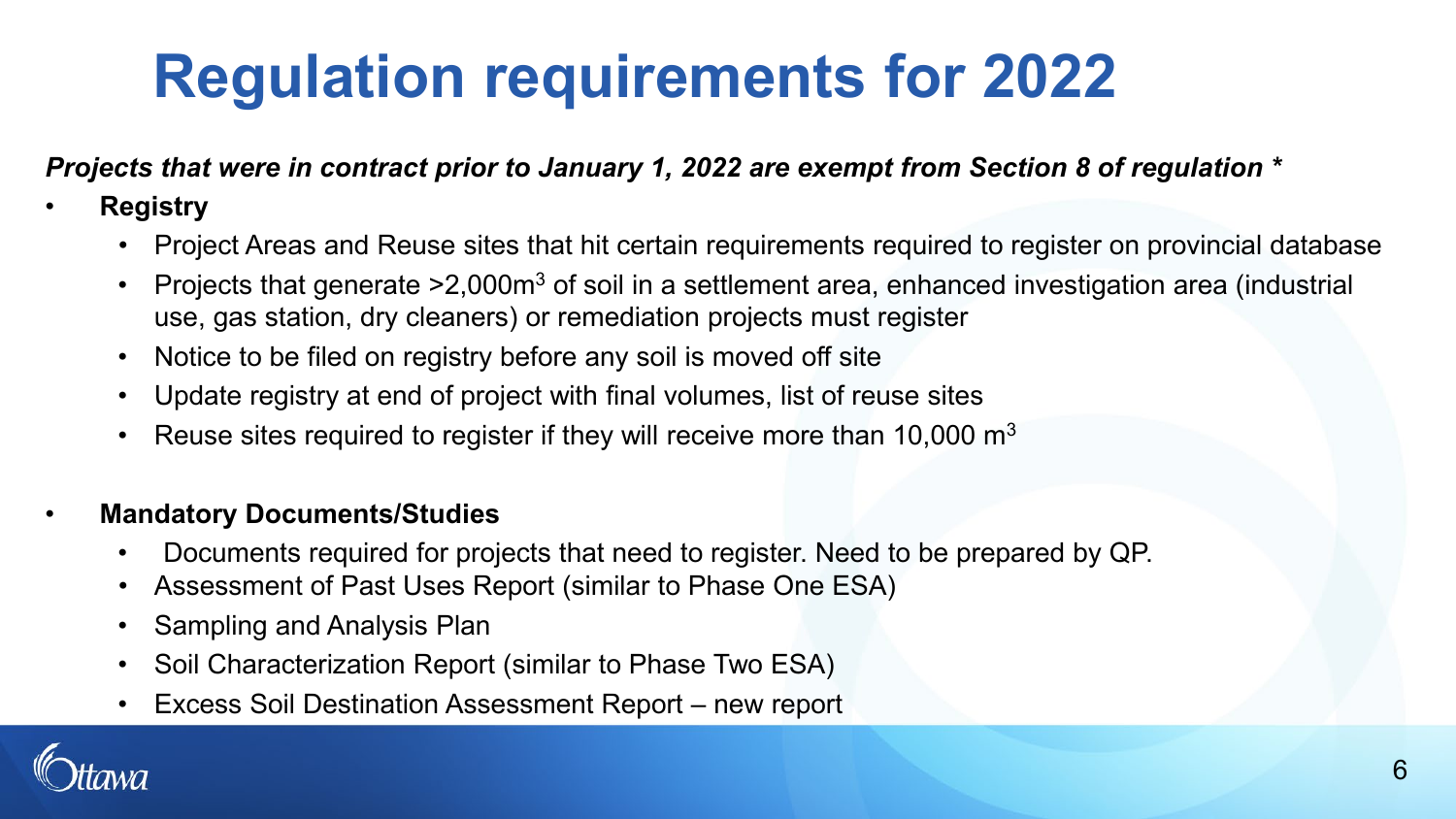# **Regulation requirements for 2022**

#### *Projects that were in contract prior to January 1, 2022 are exempt from Section 8 of regulation \**

#### • **Registry**

- Project Areas and Reuse sites that hit certain requirements required to register on provincial database
- Projects that generate >2,000m3 of soil in a settlement area, enhanced investigation area (industrial use, gas station, dry cleaners) or remediation projects must register
- Notice to be filed on registry before any soil is moved off site
- Update registry at end of project with final volumes, list of reuse sites
- Reuse sites required to register if they will receive more than 10,000  $\mathrm{m}^{3}$

#### • **Mandatory Documents/Studies**

- Documents required for projects that need to register. Need to be prepared by QP.
- Assessment of Past Uses Report (similar to Phase One ESA)
- Sampling and Analysis Plan
- Soil Characterization Report (similar to Phase Two ESA)
- Excess Soil Destination Assessment Report new report

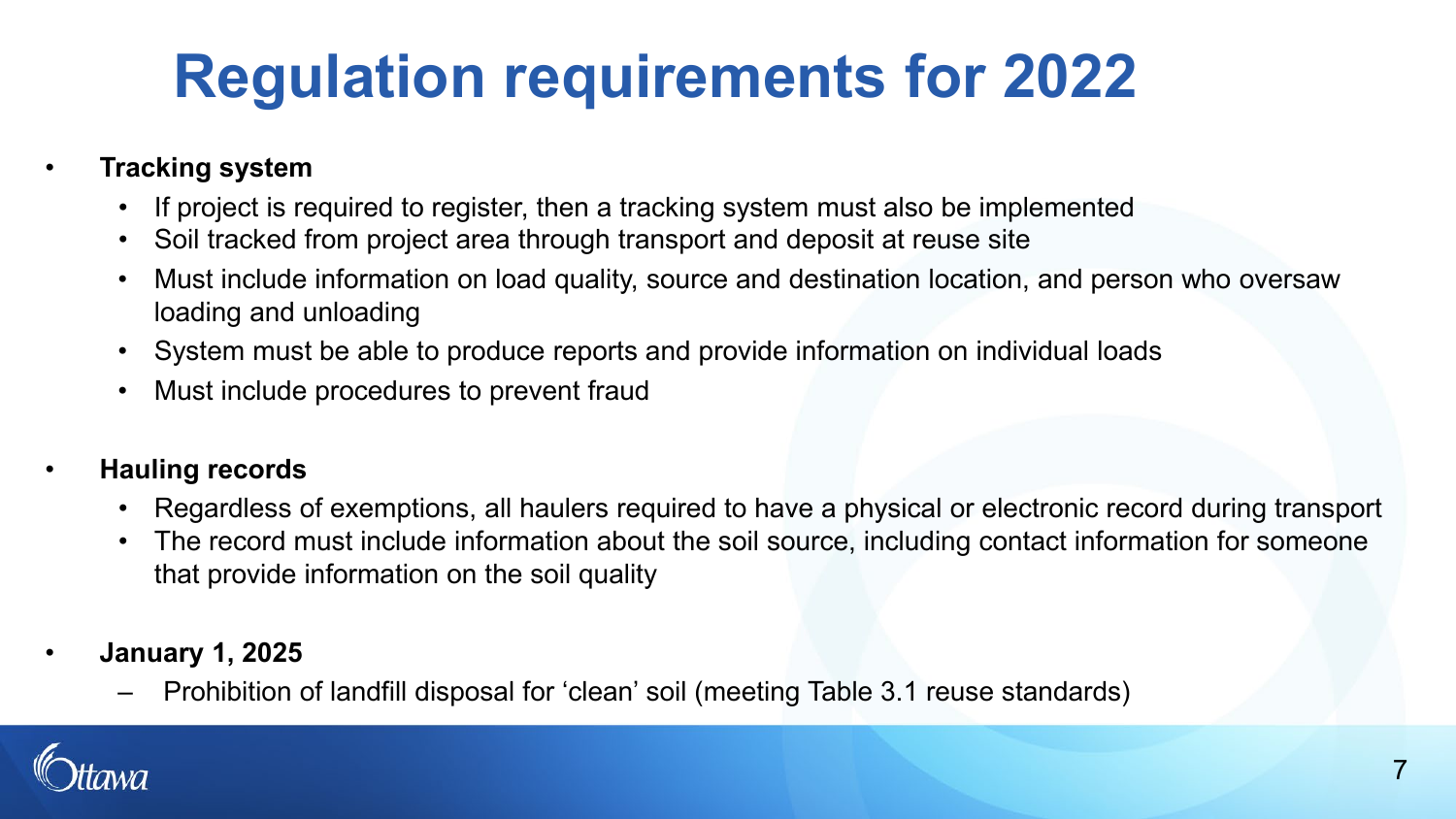# **Regulation requirements for 2022**

#### • **Tracking system**

- If project is required to register, then a tracking system must also be implemented
- Soil tracked from project area through transport and deposit at reuse site
- Must include information on load quality, source and destination location, and person who oversaw loading and unloading
- System must be able to produce reports and provide information on individual loads
- Must include procedures to prevent fraud

#### • **Hauling records**

- Regardless of exemptions, all haulers required to have a physical or electronic record during transport
- The record must include information about the soil source, including contact information for someone that provide information on the soil quality
- **January 1, 2025**
	- Prohibition of landfill disposal for 'clean' soil (meeting Table 3.1 reuse standards)

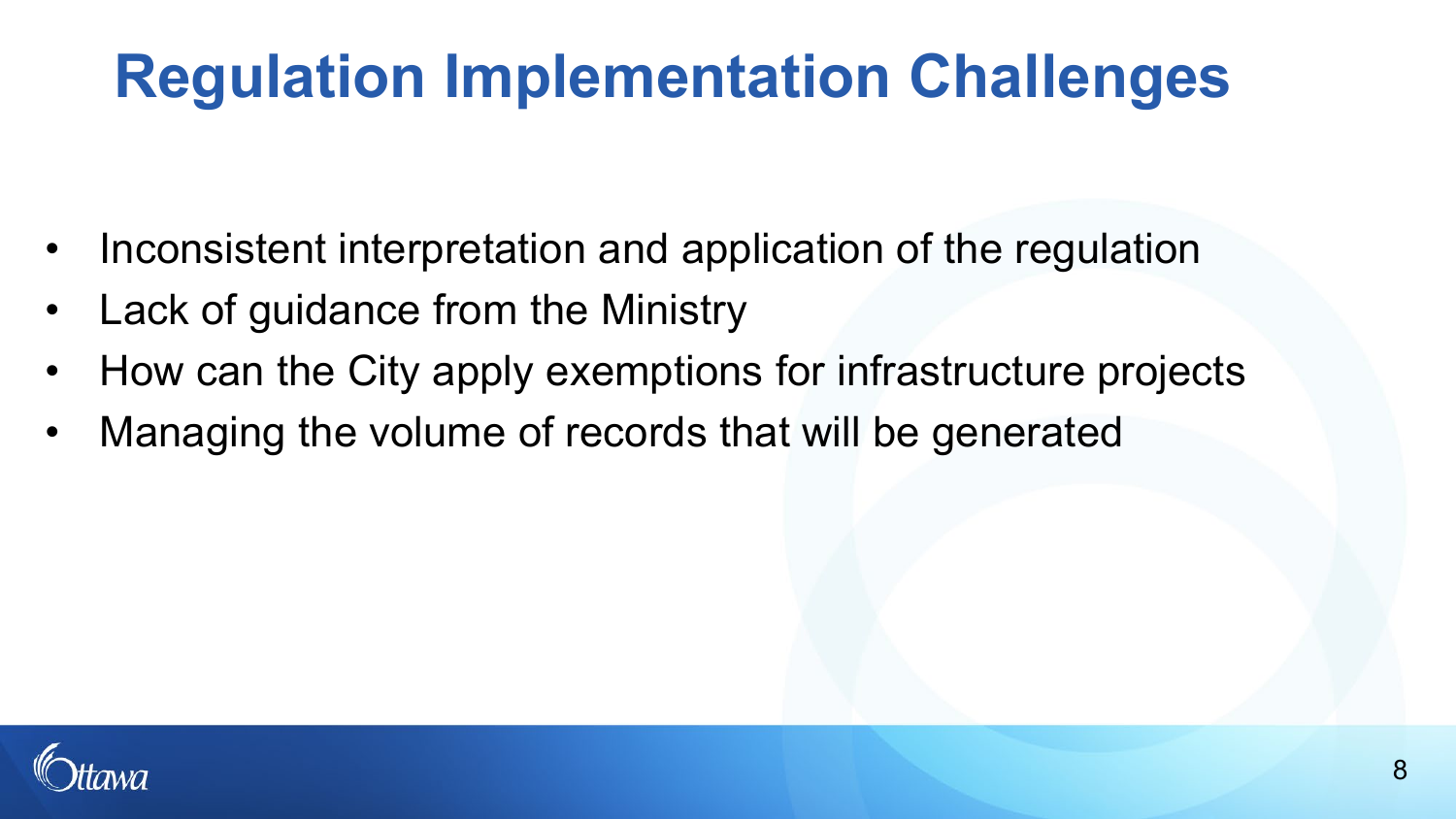### **Regulation Implementation Challenges**

- Inconsistent interpretation and application of the regulation
- Lack of guidance from the Ministry
- How can the City apply exemptions for infrastructure projects
- Managing the volume of records that will be generated

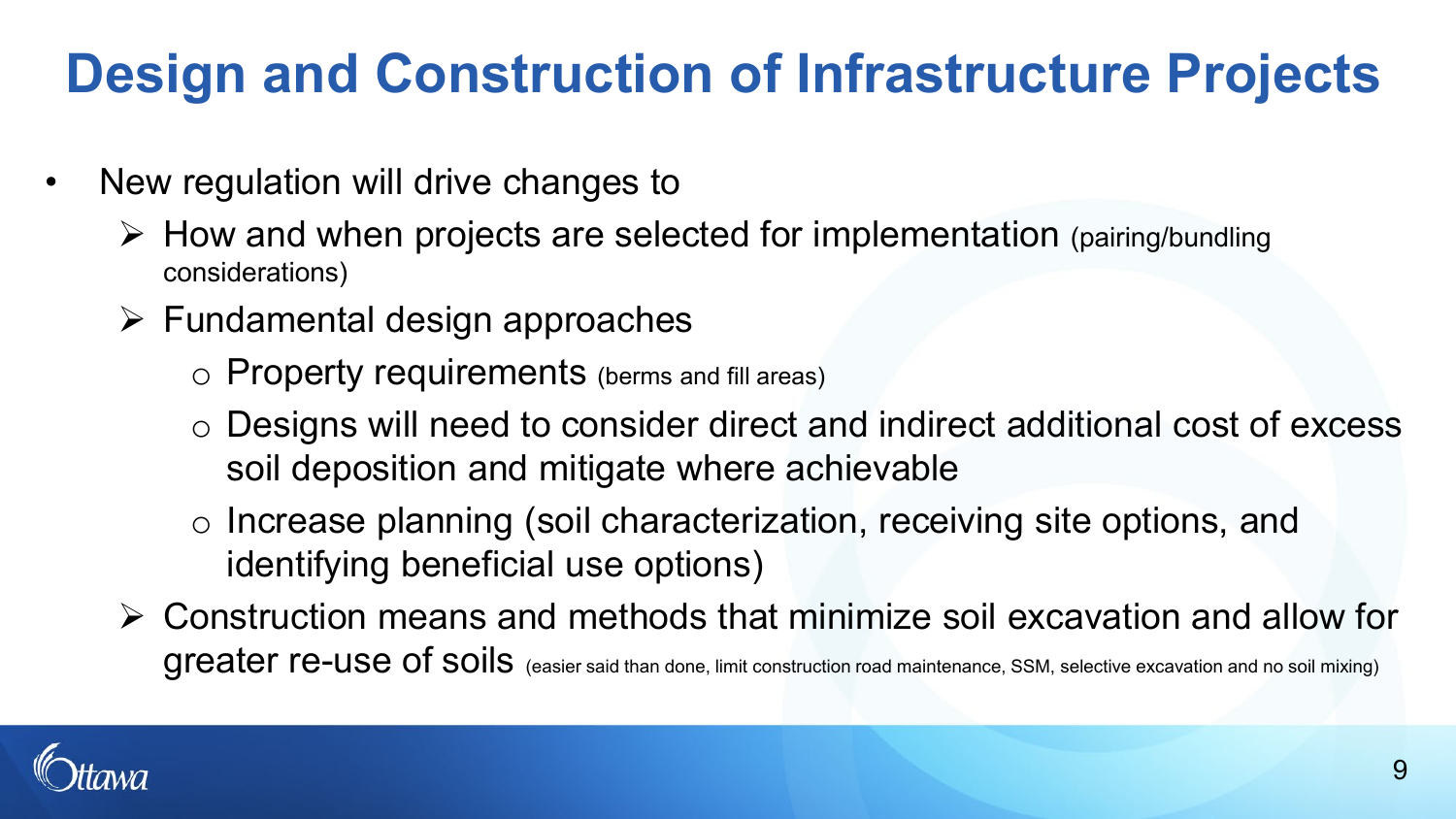### **Design and Construction of Infrastructure Projects**

- New regulation will drive changes to
	- $\triangleright$  How and when projects are selected for implementation (pairing/bundling considerations)
	- $\triangleright$  Fundamental design approaches
		- o Property requirements (berms and fill areas)
		- o Designs will need to consider direct and indirect additional cost of excess soil deposition and mitigate where achievable
		- o Increase planning (soil characterization, receiving site options, and identifying beneficial use options)
	- Construction means and methods that minimize soil excavation and allow for greater re-use of soils (easier said than done, limit construction road maintenance, SSM, selective excavation and no soil mixing)

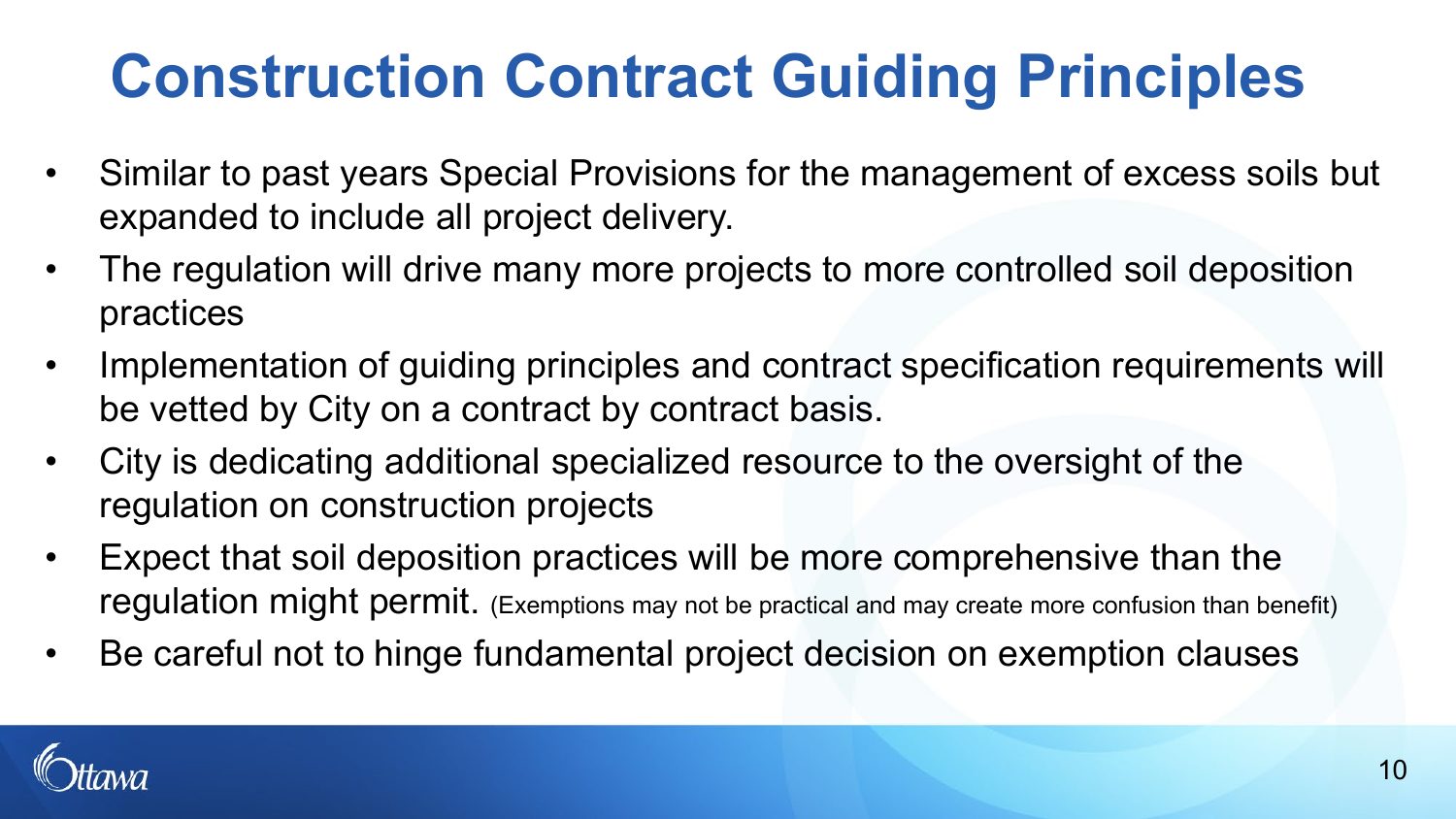# **Construction Contract Guiding Principles**

- Similar to past years Special Provisions for the management of excess soils but expanded to include all project delivery.
- The regulation will drive many more projects to more controlled soil deposition practices
- Implementation of guiding principles and contract specification requirements will be vetted by City on a contract by contract basis.
- City is dedicating additional specialized resource to the oversight of the regulation on construction projects
- Expect that soil deposition practices will be more comprehensive than the regulation might permit. (Exemptions may not be practical and may create more confusion than benefit)
- Be careful not to hinge fundamental project decision on exemption clauses

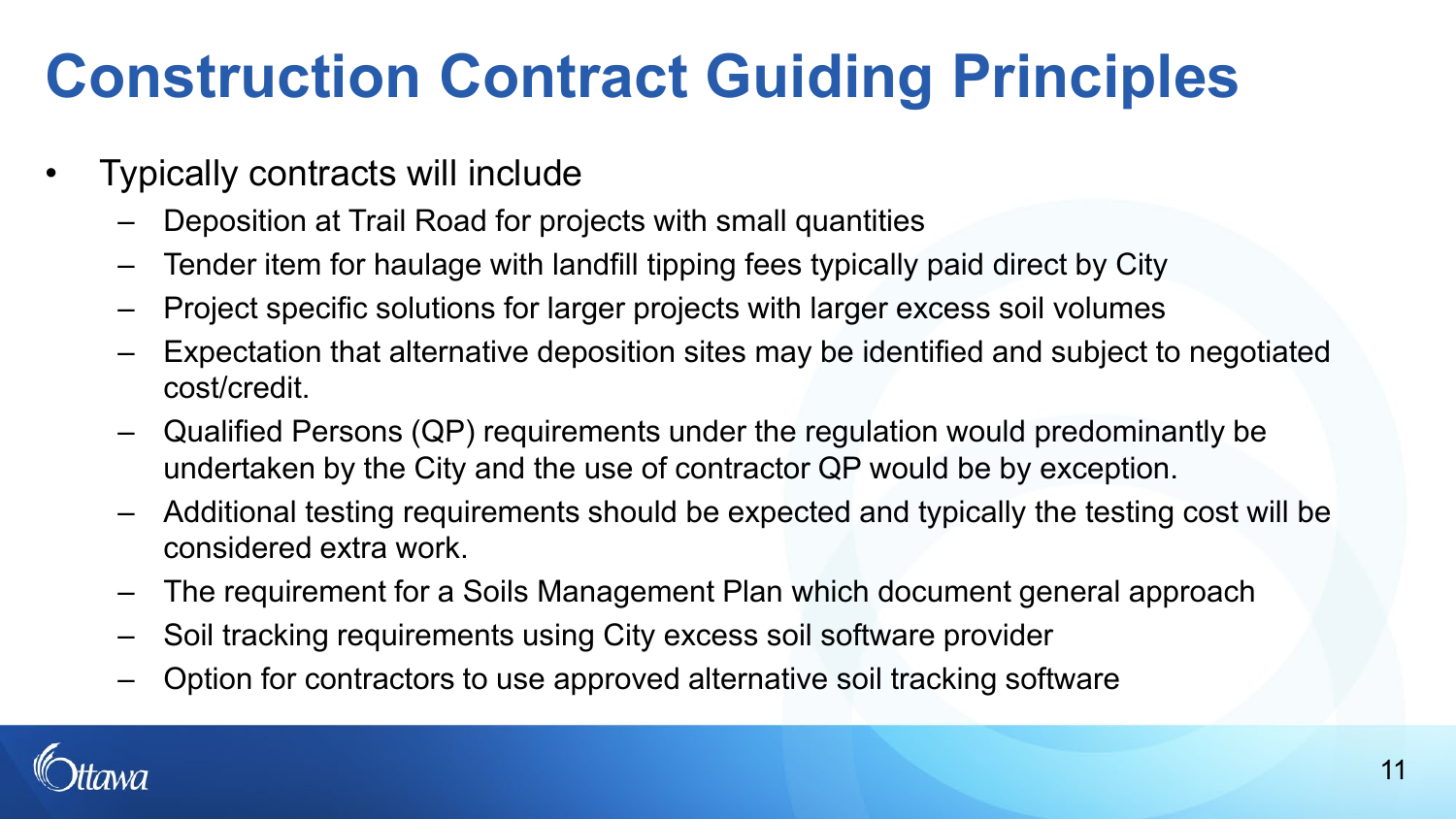## **Construction Contract Guiding Principles**

- Typically contracts will include
	- Deposition at Trail Road for projects with small quantities
	- Tender item for haulage with landfill tipping fees typically paid direct by City
	- Project specific solutions for larger projects with larger excess soil volumes
	- Expectation that alternative deposition sites may be identified and subject to negotiated cost/credit.
	- Qualified Persons (QP) requirements under the regulation would predominantly be undertaken by the City and the use of contractor QP would be by exception.
	- Additional testing requirements should be expected and typically the testing cost will be considered extra work.
	- The requirement for a Soils Management Plan which document general approach
	- Soil tracking requirements using City excess soil software provider
	- Option for contractors to use approved alternative soil tracking software

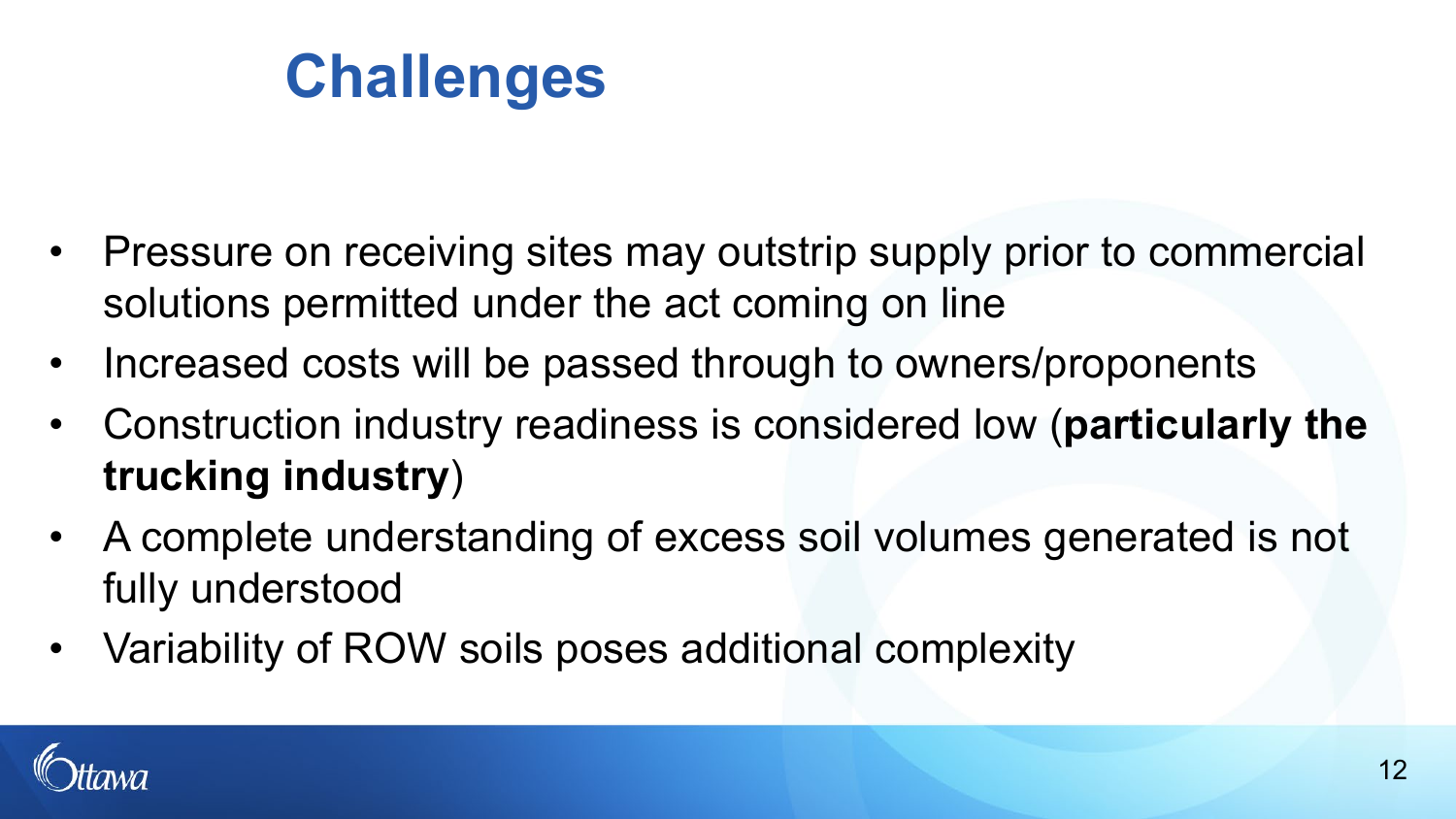### **Challenges**

- Pressure on receiving sites may outstrip supply prior to commercial solutions permitted under the act coming on line
- Increased costs will be passed through to owners/proponents
- Construction industry readiness is considered low (**particularly the trucking industry**)
- A complete understanding of excess soil volumes generated is not fully understood
- Variability of ROW soils poses additional complexity

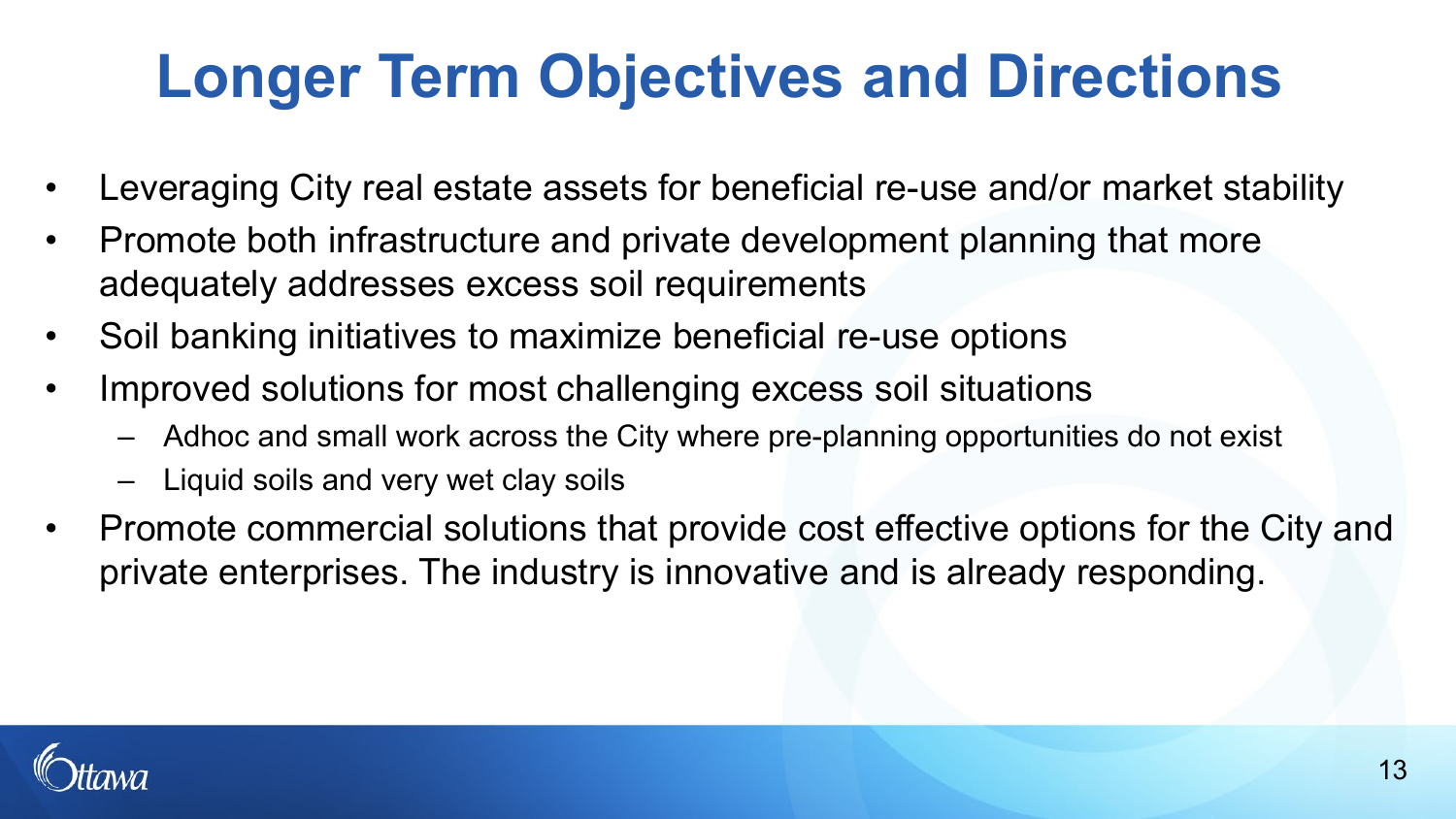## **Longer Term Objectives and Directions**

- Leveraging City real estate assets for beneficial re-use and/or market stability
- Promote both infrastructure and private development planning that more adequately addresses excess soil requirements
- Soil banking initiatives to maximize beneficial re-use options
- Improved solutions for most challenging excess soil situations
	- Adhoc and small work across the City where pre-planning opportunities do not exist
	- Liquid soils and very wet clay soils
- Promote commercial solutions that provide cost effective options for the City and private enterprises. The industry is innovative and is already responding.